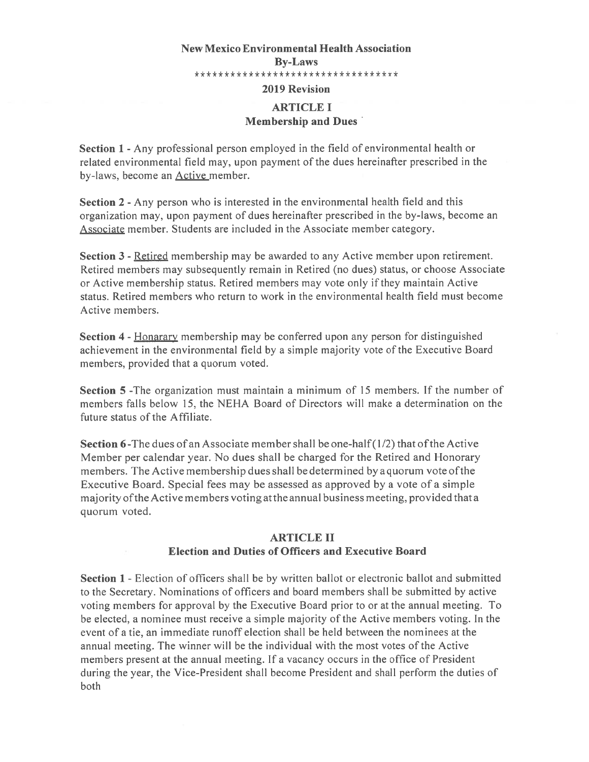# New Mexico Environmental Health Association By-Laws \*\*\*\*\*\*\*\*\*\*\*\*\*\*\*\*\*\*\*\*\*\*\*\*\*\*\*\*\*\*\*\*\* 2019 Revision ARTICLE I Membership and Dues

Section <sup>1</sup> - Any professional person employed in the field of environmental health or related environmental field may, upon paymen<sup>t</sup> of the dues hereinafter prescribed in the by-laws, become an Active member.

Section <sup>2</sup> - Any person who is interested in the environmental health field and this organization may, upon paymen<sup>t</sup> of dues hereinafter prescribed in the by-laws, become an Associate member. Students are included in the Associate member category.

Section 3 - Retired membership may be awarded to any Active member upon retirement. Retired members may subsequently remain in Retired (no dues) status, or choose Associate or Active membership status. Retired members may vote only if they maintain Active status. Retired members who return to work in the environmental health field must become Active members.

Section <sup>4</sup> - Honarary membership may be conferred upon any person for distinguished achievement in the environmental field by <sup>a</sup> simple majority vote of the Executive Board members, provided that <sup>a</sup> quorum voted.

Section 5 -The organization must maintain a minimum of 15 members. If the number of members falls below 15, the NEHA Board of Directors will make <sup>a</sup> determination on the future status of the Affiliate.

**Section 6-The dues of an Associate member shall be one-half (1/2) that of the Active** Member per calendar year. No dues shall be charged for the Retired and Honorary members. The Active membership dues shall be determined by <sup>a</sup> quorum vote ofthe Executive Board. Special fees may be assessed as approved by <sup>a</sup> vote of <sup>a</sup> simple majority ofthe Active members voting at the annual business meeting, provided that <sup>a</sup> quorum voted.

## ARTICLE II Election and Duties of Officers and Executive Board

Section 1 -Election of officers shall be by written ballot or electronic ballot and submitted to the Secretary. Nominations of officers and board members shall be submitted by active voting members for approval by the Executive Board prior to or at the annual meeting. To be elected, <sup>a</sup> nominee must receive <sup>a</sup> simple majority of the Active members voting. In the event of <sup>a</sup> tie, an immediate runoff election shall be held between the nominees at the annual meeting. The winner will be the individual with the most votes of the Active members presen<sup>t</sup> at the annual meeting. If <sup>a</sup> vacancy occurs in the office of President during the year, the Vice-President shall become President and shall perform the duties of both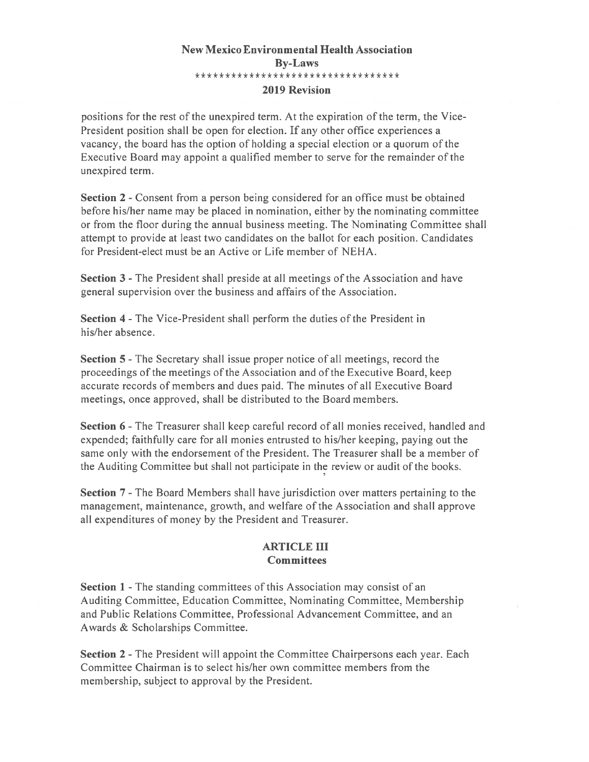## New Mexico Environmental Health Association By-Laws \*\*\*\*\*\*\*\*\*\*\*\*\*\*\*\*\*\*\*\*\*\*\*\*\*\*\*\*\*\*\*\*\*\* 2019 Revision

positions for the rest of the unexpired term. At the expiration of the term, the Vice-President position shall be open for election. If any other office experiences <sup>a</sup> vacancy, the board has the option of holding <sup>a</sup> special election or <sup>a</sup> quorum of the Executive Board may appoint <sup>a</sup> qualified member to serve for the remainder of the unexpired term.

Section 2 - Consent from a person being considered for an office must be obtained before his/her name may be placed in nomination, either by the nominating committee or from the floor during the annual business meeting. The Nominating Committee shall attempt to provide at least two candidates on the ballot for each position. Candidates for President-elect must be an Active or Life member of NEHA.

Section 3 - The President shall preside at all meetings of the Association and have general supervision over the business and affairs of the Association.

Section 4 - The Vice-President shall perform the duties of the President in his/her absence.

Section 5 - The Secretary shall issue proper notice of all meetings, record the proceedings of the meetings ofthe Association and ofthe Executive Board, keep accurate records of members and dues paid. The minutes of all Executive Board meetings, once approved, shall be distributed to the Board members.

Section <sup>6</sup> -The Treasurer shall keep careful record of all monies received, handled and expended; faithfully care for all monies entrusted to his/her keeping, paying out the same only with the endorsement of the President. The Treasurer shall be <sup>a</sup> member of the Auditing Committee but shall not participate in the review or audit of the books.

Section 7-The Board Members shall have jurisdiction over matters pertaining to the management, maintenance, growth, and welfare of the Association and shall approve all expenditures of money by the President and Treasurer.

### ARTICLE III **Committees**

Section 1 - The standing committees of this Association may consist of an Auditing Committee, Education Committee, Nominating Committee, Membership and Public Relations Committee, Professional Advancement Committee, and an Awards & Scholarships Committee.

Section 2 - The President will appoint the Committee Chairpersons each year. Each Committee Chairman is to select his/her own committee members from the membership, subject to approval by the President.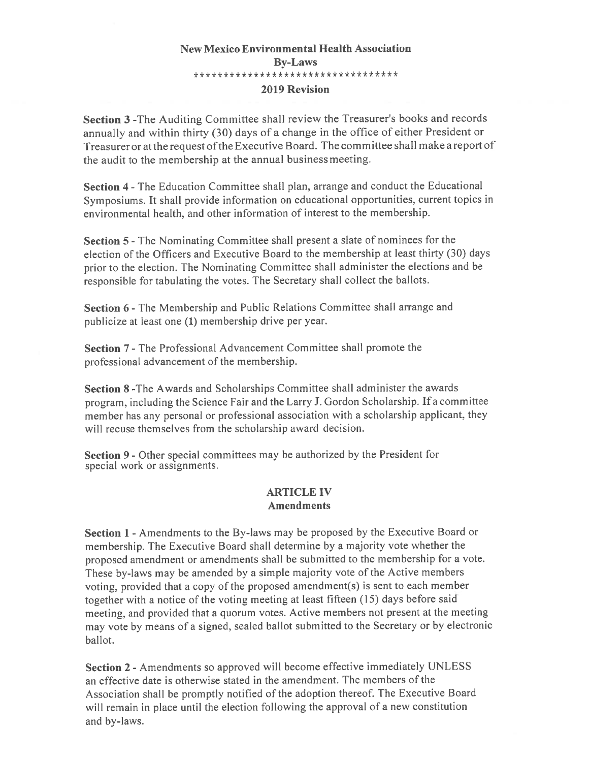## New Mexico Environmental Health Association By-Laws \*\*\*\*\*\*\*\*\*\*\*\*\*\*\*\*\*\*\*\*\*\*\*\*\*\*\*\*\*\*\*\*\* 2019 Revision

Section <sup>3</sup> -The Auditing Committee shall review the Treasurer's books and records annually and within thirty (30) days of <sup>a</sup> change in the office of either President or Treasurer or at the reques<sup>t</sup> ofthe Executive Board. The committee shall make <sup>a</sup> repor<sup>t</sup> of the audit to the membership at the annual business meeting.

Section <sup>4</sup> -The Education Committee shall plan, arrange and conduct the Educational Symposiums. It shall provide information on educational opportunities, current topics in environmental health, and other information of interest to the membership.

Section <sup>5</sup> -The Nominating Committee shall presen<sup>t</sup> <sup>a</sup> slate of nominees for the election of the Officers and Executive Board to the membership at least thirty (30) days prior to the election. The Nominating Committee shall administer the elections and be responsible for tabulating the votes. The Secretary shall collect the ballots.

Section <sup>6</sup> -The Membership and Public Relations Committee shall arrange and publicize at least one (1) membership drive per year.

Section 7 - The Professional Advancement Committee shall promote the professional advancement of the membership.

Section 8 -The Awards and Scholarships Committee shall administer the awards program, including the Science Fair and the Larry J. Gordon Scholarship. If <sup>a</sup> committee member has any persona<sup>l</sup> or professional association with <sup>a</sup> scholarship applicant, they will recuse themselves from the scholarship award decision.

Section 9 - Other special committees may be authorized by the President for special work or assignments.

#### ARTICLE IV Amendments

Section 1 - Amendments to the By-laws may be proposed by the Executive Board or membership. The Executive Board shall determine by <sup>a</sup> majority vote whether the propose<sup>d</sup> amendment or amendments shall be submitted to the membership for <sup>a</sup> vote. These by-laws may be amended by <sup>a</sup> simple majority vote of the Active members voting, provided that <sup>a</sup> copy of the propose<sup>d</sup> amendment(s) is sent to each member together with <sup>a</sup> notice of the voting meeting at least fifteen (15) days before said meeting. and provided that <sup>a</sup> quorum votes. Active members not presen<sup>t</sup> at the meeting may vote by means of <sup>a</sup> signed, sealed ballot submitted to the Secretary or by electronic ballot.

Section 2 - Amendments so approved will become effective immediately UNLESS an effective date is otherwise stated in the amendment. The members of the Association shall be promptly notified of the adoption thereof. The Executive Board will remain in <sup>p</sup>lace until the election following the approva<sup>l</sup> of <sup>a</sup> new constitution and by-laws.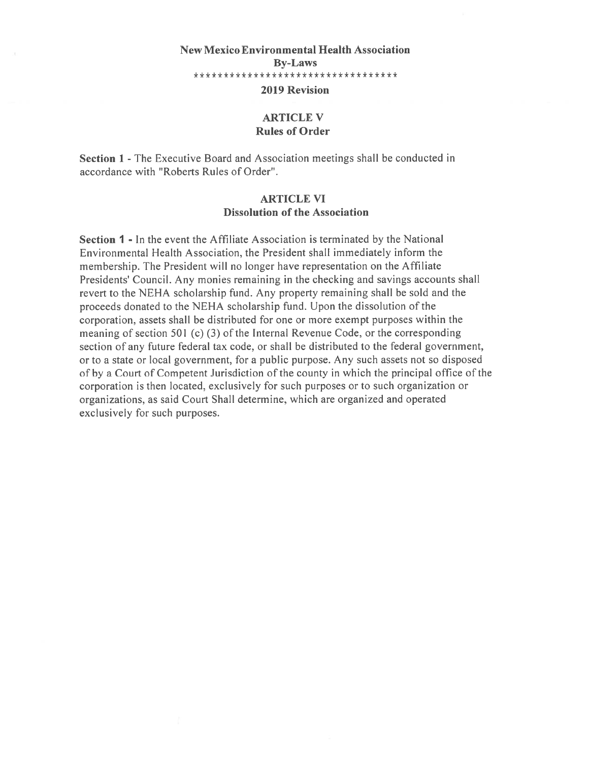# New Mexico Environmental Health Association By-Laws \*\*\*\*\*\*\*\*\*\*\*\*\*\*\*\*\*\*\*\*\*\*\*\*\*\*\*\*\*\*\*\*\*\*

# 2019 Revision

### ARTICLE V Rules of Order

Section 1 - The Executive Board and Association meetings shall be conducted in accordance with "Roberts Rules of Order".

#### ARTICLE VI Dissolution of the Association

Section 1 - In the event the Affiliate Association is terminated by the National Environmental Health Association, the President shall immediately inform the membership. The President will no longer have representation on the Affiliate Presidents' Council. Any monies remaining in the checking and savings accounts shall revert to the NEHA scholarship fund. Any property remaining shall be sold and the proceeds donated to the NEHA scholarship fund. Upon the dissolution of the corporation, assets shall be distributed for one or more exemp<sup>t</sup> purposes within the meaning of section 501 (c) (3) of the Internal Revenue Code, or the corresponding section of any future federal tax code, or shall be distributed to the federal government, or to <sup>a</sup> state or local government, for <sup>a</sup> public purpose. Any such assets not so disposed of by <sup>a</sup> Court of Competent Jurisdiction of the county in which the principal office of the corporation is then located, exclusively for such purposes or to such organization or organizations, as said Court Shall determine, which are organized and operated exclusively for such purposes.